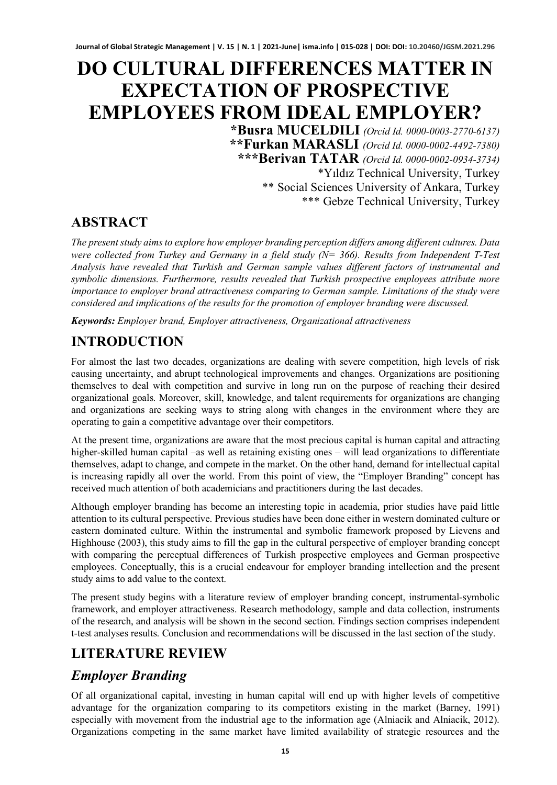# **DO CULTURAL DIFFERENCES MATTER IN EXPECTATION OF PROSPECTIVE EMPLOYEES FROM IDEAL EMPLOYER?**

**\*Busra MUCELDILI** *(Orcid Id. 0000-0003-2770-6137)* **\*\*Furkan MARASLI** *(Orcid Id. 0000-0002-4492-7380)* **\*\*\*Berivan TATAR** *(Orcid Id. 0000-0002-0934-3734)* \*Yıldız Technical University, Turkey \*\* Social Sciences University of Ankara, Turkey \*\*\* Gebze Technical University, Turkey

#### **ABSTRACT**

*The present study aims to explore how employer branding perception differs among different cultures. Data were collected from Turkey and Germany in a field study (N= 366). Results from Independent T-Test Analysis have revealed that Turkish and German sample values different factors of instrumental and symbolic dimensions. Furthermore, results revealed that Turkish prospective employees attribute more importance to employer brand attractiveness comparing to German sample. Limitations of the study were considered and implications of the results for the promotion of employer branding were discussed.* 

*Keywords: Employer brand, Employer attractiveness, Organizational attractiveness*

# **INTRODUCTION**

For almost the last two decades, organizations are dealing with severe competition, high levels of risk causing uncertainty, and abrupt technological improvements and changes. Organizations are positioning themselves to deal with competition and survive in long run on the purpose of reaching their desired organizational goals. Moreover, skill, knowledge, and talent requirements for organizations are changing and organizations are seeking ways to string along with changes in the environment where they are operating to gain a competitive advantage over their competitors.

At the present time, organizations are aware that the most precious capital is human capital and attracting higher-skilled human capital –as well as retaining existing ones – will lead organizations to differentiate themselves, adapt to change, and compete in the market. On the other hand, demand for intellectual capital is increasing rapidly all over the world. From this point of view, the "Employer Branding" concept has received much attention of both academicians and practitioners during the last decades.

Although employer branding has become an interesting topic in academia, prior studies have paid little attention to its cultural perspective. Previous studies have been done either in western dominated culture or eastern dominated culture. Within the instrumental and symbolic framework proposed by Lievens and Highhouse (2003), this study aims to fill the gap in the cultural perspective of employer branding concept with comparing the perceptual differences of Turkish prospective employees and German prospective employees. Conceptually, this is a crucial endeavour for employer branding intellection and the present study aims to add value to the context.

The present study begins with a literature review of employer branding concept, instrumental-symbolic framework, and employer attractiveness. Research methodology, sample and data collection, instruments of the research, and analysis will be shown in the second section. Findings section comprises independent t-test analyses results. Conclusion and recommendations will be discussed in the last section of the study.

### **LITERATURE REVIEW**

### *Employer Branding*

Of all organizational capital, investing in human capital will end up with higher levels of competitive advantage for the organization comparing to its competitors existing in the market (Barney, 1991) especially with movement from the industrial age to the information age (Alniacik and Alniacik, 2012). Organizations competing in the same market have limited availability of strategic resources and the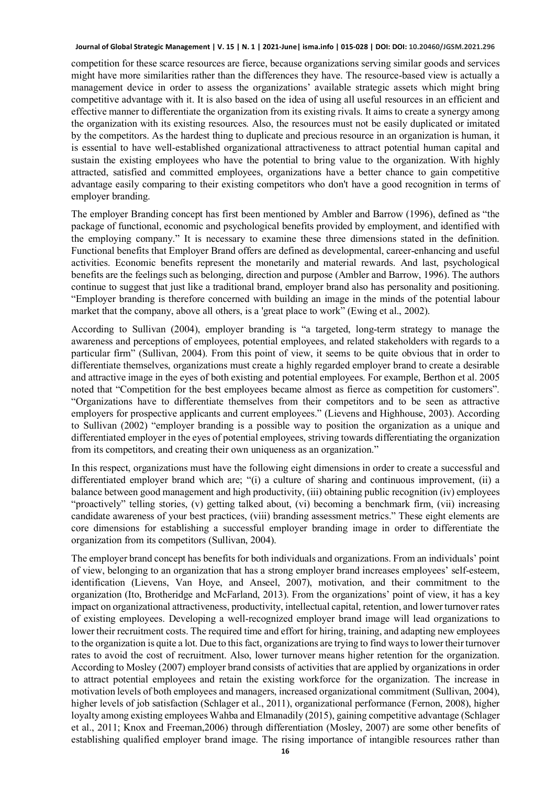competition for these scarce resources are fierce, because organizations serving similar goods and services might have more similarities rather than the differences they have. The resource-based view is actually a management device in order to assess the organizations' available strategic assets which might bring competitive advantage with it. It is also based on the idea of using all useful resources in an efficient and effective manner to differentiate the organization from its existing rivals. It aims to create a synergy among the organization with its existing resources. Also, the resources must not be easily duplicated or imitated by the competitors. As the hardest thing to duplicate and precious resource in an organization is human, it is essential to have well-established organizational attractiveness to attract potential human capital and sustain the existing employees who have the potential to bring value to the organization. With highly attracted, satisfied and committed employees, organizations have a better chance to gain competitive advantage easily comparing to their existing competitors who don't have a good recognition in terms of employer branding.

The employer Branding concept has first been mentioned by Ambler and Barrow (1996), defined as "the package of functional, economic and psychological benefits provided by employment, and identified with the employing company." It is necessary to examine these three dimensions stated in the definition. Functional benefits that Employer Brand offers are defined as developmental, career-enhancing and useful activities. Economic benefits represent the monetarily and material rewards. And last, psychological benefits are the feelings such as belonging, direction and purpose (Ambler and Barrow, 1996). The authors continue to suggest that just like a traditional brand, employer brand also has personality and positioning. "Employer branding is therefore concerned with building an image in the minds of the potential labour market that the company, above all others, is a 'great place to work" (Ewing et al., 2002).

According to Sullivan (2004), employer branding is "a targeted, long-term strategy to manage the awareness and perceptions of employees, potential employees, and related stakeholders with regards to a particular firm" (Sullivan, 2004). From this point of view, it seems to be quite obvious that in order to differentiate themselves, organizations must create a highly regarded employer brand to create a desirable and attractive image in the eyes of both existing and potential employees. For example, Berthon et al. 2005 noted that "Competition for the best employees became almost as fierce as competition for customers". "Organizations have to differentiate themselves from their competitors and to be seen as attractive employers for prospective applicants and current employees." (Lievens and Highhouse, 2003). According to Sullivan (2002) "employer branding is a possible way to position the organization as a unique and differentiated employer in the eyes of potential employees, striving towards differentiating the organization from its competitors, and creating their own uniqueness as an organization."

In this respect, organizations must have the following eight dimensions in order to create a successful and differentiated employer brand which are; "(i) a culture of sharing and continuous improvement, (ii) a balance between good management and high productivity, (iii) obtaining public recognition (iv) employees "proactively" telling stories, (v) getting talked about, (vi) becoming a benchmark firm, (vii) increasing candidate awareness of your best practices, (viii) branding assessment metrics." These eight elements are core dimensions for establishing a successful employer branding image in order to differentiate the organization from its competitors (Sullivan, 2004).

The employer brand concept has benefits for both individuals and organizations. From an individuals' point of view, belonging to an organization that has a strong employer brand increases employees' self-esteem, identification (Lievens, Van Hoye, and Anseel, 2007), motivation, and their commitment to the organization (Ito, Brotheridge and McFarland, 2013). From the organizations' point of view, it has a key impact on organizational attractiveness, productivity, intellectual capital, retention, and lower turnover rates of existing employees. Developing a well-recognized employer brand image will lead organizations to lower their recruitment costs. The required time and effort for hiring, training, and adapting new employees to the organization is quite a lot. Due to this fact, organizations are trying to find ways to lower their turnover rates to avoid the cost of recruitment. Also, lower turnover means higher retention for the organization. According to Mosley (2007) employer brand consists of activities that are applied by organizations in order to attract potential employees and retain the existing workforce for the organization. The increase in motivation levels of both employees and managers, increased organizational commitment (Sullivan, 2004), higher levels of job satisfaction (Schlager et al., 2011), organizational performance (Fernon, 2008), higher loyalty among existing employees Wahba and Elmanadily (2015), gaining competitive advantage (Schlager et al., 2011; Knox and Freeman,2006) through differentiation (Mosley, 2007) are some other benefits of establishing qualified employer brand image. The rising importance of intangible resources rather than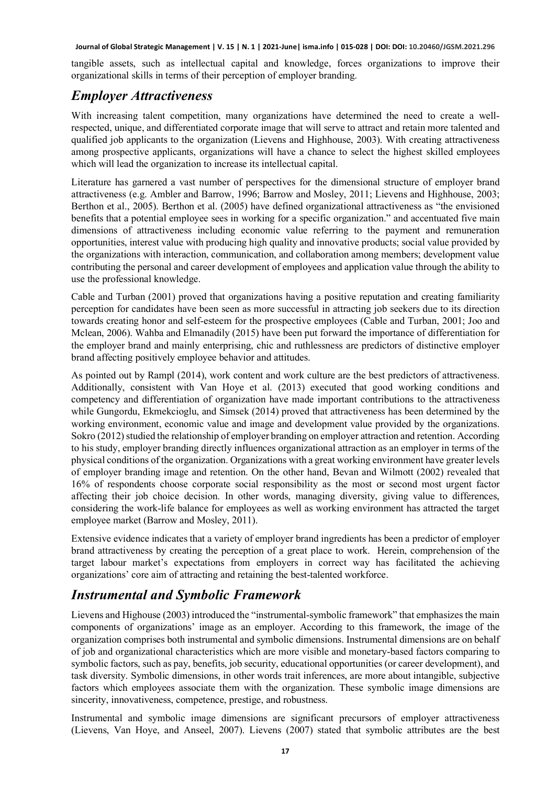tangible assets, such as intellectual capital and knowledge, forces organizations to improve their organizational skills in terms of their perception of employer branding.

#### *Employer Attractiveness*

With increasing talent competition, many organizations have determined the need to create a wellrespected, unique, and differentiated corporate image that will serve to attract and retain more talented and qualified job applicants to the organization (Lievens and Highhouse, 2003). With creating attractiveness among prospective applicants, organizations will have a chance to select the highest skilled employees which will lead the organization to increase its intellectual capital.

Literature has garnered a vast number of perspectives for the dimensional structure of employer brand attractiveness (e.g. Ambler and Barrow, 1996; Barrow and Mosley, 2011; Lievens and Highhouse, 2003; Berthon et al., 2005). Berthon et al. (2005) have defined organizational attractiveness as "the envisioned benefits that a potential employee sees in working for a specific organization." and accentuated five main dimensions of attractiveness including economic value referring to the payment and remuneration opportunities, interest value with producing high quality and innovative products; social value provided by the organizations with interaction, communication, and collaboration among members; development value contributing the personal and career development of employees and application value through the ability to use the professional knowledge.

Cable and Turban (2001) proved that organizations having a positive reputation and creating familiarity perception for candidates have been seen as more successful in attracting job seekers due to its direction towards creating honor and self-esteem for the prospective employees (Cable and Turban, 2001; Joo and Mclean, 2006). Wahba and Elmanadily (2015) have been put forward the importance of differentiation for the employer brand and mainly enterprising, chic and ruthlessness are predictors of distinctive employer brand affecting positively employee behavior and attitudes.

As pointed out by Rampl (2014), work content and work culture are the best predictors of attractiveness. Additionally, consistent with Van Hoye et al. (2013) executed that good working conditions and competency and differentiation of organization have made important contributions to the attractiveness while Gungordu, Ekmekcioglu, and Simsek (2014) proved that attractiveness has been determined by the working environment, economic value and image and development value provided by the organizations. Sokro (2012) studied the relationship of employer branding on employer attraction and retention. According to his study, employer branding directly influences organizational attraction as an employer in terms of the physical conditions of the organization. Organizations with a great working environment have greater levels of employer branding image and retention. On the other hand, Bevan and Wilmott (2002) revealed that 16% of respondents choose corporate social responsibility as the most or second most urgent factor affecting their job choice decision. In other words, managing diversity, giving value to differences, considering the work-life balance for employees as well as working environment has attracted the target employee market (Barrow and Mosley, 2011).

Extensive evidence indicates that a variety of employer brand ingredients has been a predictor of employer brand attractiveness by creating the perception of a great place to work. Herein, comprehension of the target labour market's expectations from employers in correct way has facilitated the achieving organizations' core aim of attracting and retaining the best-talented workforce.

#### *Instrumental and Symbolic Framework*

Lievens and Highouse (2003) introduced the "instrumental-symbolic framework" that emphasizes the main components of organizations' image as an employer. According to this framework, the image of the organization comprises both instrumental and symbolic dimensions. Instrumental dimensions are on behalf of job and organizational characteristics which are more visible and monetary-based factors comparing to symbolic factors, such as pay, benefits, job security, educational opportunities (or career development), and task diversity. Symbolic dimensions, in other words trait inferences, are more about intangible, subjective factors which employees associate them with the organization. These symbolic image dimensions are sincerity, innovativeness, competence, prestige, and robustness.

Instrumental and symbolic image dimensions are significant precursors of employer attractiveness (Lievens, Van Hoye, and Anseel, 2007). Lievens (2007) stated that symbolic attributes are the best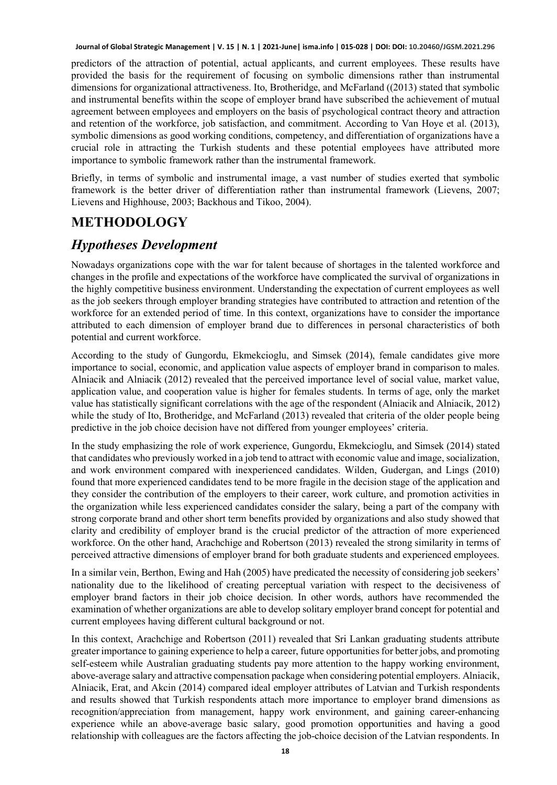predictors of the attraction of potential, actual applicants, and current employees. These results have provided the basis for the requirement of focusing on symbolic dimensions rather than instrumental dimensions for organizational attractiveness. Ito, Brotheridge, and McFarland ((2013) stated that symbolic and instrumental benefits within the scope of employer brand have subscribed the achievement of mutual agreement between employees and employers on the basis of psychological contract theory and attraction and retention of the workforce, job satisfaction, and commitment. According to Van Hoye et al. (2013), symbolic dimensions as good working conditions, competency, and differentiation of organizations have a crucial role in attracting the Turkish students and these potential employees have attributed more importance to symbolic framework rather than the instrumental framework.

Briefly, in terms of symbolic and instrumental image, a vast number of studies exerted that symbolic framework is the better driver of differentiation rather than instrumental framework (Lievens, 2007; Lievens and Highhouse, 2003; Backhous and Tikoo, 2004).

# **METHODOLOGY**

#### *Hypotheses Development*

Nowadays organizations cope with the war for talent because of shortages in the talented workforce and changes in the profile and expectations of the workforce have complicated the survival of organizations in the highly competitive business environment. Understanding the expectation of current employees as well as the job seekers through employer branding strategies have contributed to attraction and retention of the workforce for an extended period of time. In this context, organizations have to consider the importance attributed to each dimension of employer brand due to differences in personal characteristics of both potential and current workforce.

According to the study of Gungordu, Ekmekcioglu, and Simsek (2014), female candidates give more importance to social, economic, and application value aspects of employer brand in comparison to males. Alniacik and Alniacik (2012) revealed that the perceived importance level of social value, market value, application value, and cooperation value is higher for females students. In terms of age, only the market value has statistically significant correlations with the age of the respondent (Alniacik and Alniacik, 2012) while the study of Ito, Brotheridge, and McFarland (2013) revealed that criteria of the older people being predictive in the job choice decision have not differed from younger employees' criteria.

In the study emphasizing the role of work experience, Gungordu, Ekmekcioglu, and Simsek (2014) stated that candidates who previously worked in a job tend to attract with economic value and image, socialization, and work environment compared with inexperienced candidates. Wilden, Gudergan, and Lings (2010) found that more experienced candidates tend to be more fragile in the decision stage of the application and they consider the contribution of the employers to their career, work culture, and promotion activities in the organization while less experienced candidates consider the salary, being a part of the company with strong corporate brand and other short term benefits provided by organizations and also study showed that clarity and credibility of employer brand is the crucial predictor of the attraction of more experienced workforce. On the other hand, Arachchige and Robertson (2013) revealed the strong similarity in terms of perceived attractive dimensions of employer brand for both graduate students and experienced employees.

In a similar vein, Berthon, Ewing and Hah (2005) have predicated the necessity of considering job seekers' nationality due to the likelihood of creating perceptual variation with respect to the decisiveness of employer brand factors in their job choice decision. In other words, authors have recommended the examination of whether organizations are able to develop solitary employer brand concept for potential and current employees having different cultural background or not.

In this context, Arachchige and Robertson (2011) revealed that Sri Lankan graduating students attribute greater importance to gaining experience to help a career, future opportunities for better jobs, and promoting self-esteem while Australian graduating students pay more attention to the happy working environment, above-average salary and attractive compensation package when considering potential employers. Alniacik, Alniacik, Erat, and Akcin (2014) compared ideal employer attributes of Latvian and Turkish respondents and results showed that Turkish respondents attach more importance to employer brand dimensions as recognition/appreciation from management, happy work environment, and gaining career-enhancing experience while an above-average basic salary, good promotion opportunities and having a good relationship with colleagues are the factors affecting the job-choice decision of the Latvian respondents. In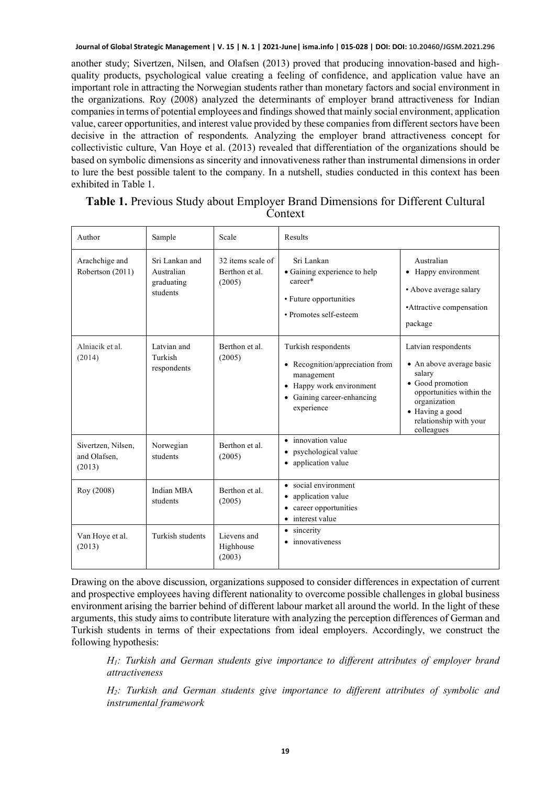another study; Sivertzen, Nilsen, and Olafsen (2013) proved that producing innovation-based and highquality products, psychological value creating a feeling of confidence, and application value have an important role in attracting the Norwegian students rather than monetary factors and social environment in the organizations. Roy (2008) analyzed the determinants of employer brand attractiveness for Indian companies in terms of potential employees and findings showed that mainly social environment, application value, career opportunities, and interest value provided by these companies from different sectors have been decisive in the attraction of respondents. Analyzing the employer brand attractiveness concept for collectivistic culture, Van Hoye et al. (2013) revealed that differentiation of the organizations should be based on symbolic dimensions as sincerity and innovativeness rather than instrumental dimensions in order to lure the best possible talent to the company. In a nutshell, studies conducted in this context has been exhibited in Table 1.

| Author                                       | Sample                                                 | Scale                                         | Results                                                                                                                                                 |                                                                                                                                                                                      |
|----------------------------------------------|--------------------------------------------------------|-----------------------------------------------|---------------------------------------------------------------------------------------------------------------------------------------------------------|--------------------------------------------------------------------------------------------------------------------------------------------------------------------------------------|
| Arachchige and<br>Robertson (2011)           | Sri Lankan and<br>Australian<br>graduating<br>students | 32 items scale of<br>Berthon et al.<br>(2005) | Sri Lankan<br>• Gaining experience to help<br>career*<br>• Future opportunities<br>• Promotes self-esteem                                               | Australian<br>• Happy environment<br>• Above average salary<br>• Attractive compensation<br>package                                                                                  |
| Alniacik et al.<br>(2014)                    | Latvian and<br>Turkish<br>respondents                  | Berthon et al.<br>(2005)                      | Turkish respondents<br>• Recognition/appreciation from<br>management<br>• Happy work environment<br>Gaining career-enhancing<br>$\bullet$<br>experience | Latvian respondents<br>• An above average basic<br>salary<br>• Good promotion<br>opportunities within the<br>organization<br>• Having a good<br>relationship with your<br>colleagues |
| Sivertzen, Nilsen,<br>and Olafsen.<br>(2013) | Norwegian<br>students                                  | Berthon et al.<br>(2005)                      | • innovation value<br>psychological value<br>application value<br>$\bullet$                                                                             |                                                                                                                                                                                      |
| Roy (2008)                                   | Indian MBA<br>students                                 | Berthon et al.<br>(2005)                      | • social environment<br>application value<br>٠<br>career opportunities<br>٠<br>• interest value                                                         |                                                                                                                                                                                      |
| Van Hoye et al.<br>(2013)                    | Turkish students                                       | Lievens and<br>Highhouse<br>(2003)            | • sincerity<br>• innovativeness                                                                                                                         |                                                                                                                                                                                      |

#### **Table 1.** Previous Study about Employer Brand Dimensions for Different Cultural Context

Drawing on the above discussion, organizations supposed to consider differences in expectation of current and prospective employees having different nationality to overcome possible challenges in global business environment arising the barrier behind of different labour market all around the world. In the light of these arguments, this study aims to contribute literature with analyzing the perception differences of German and Turkish students in terms of their expectations from ideal employers. Accordingly, we construct the following hypothesis:

*H1: Turkish and German students give importance to different attributes of employer brand attractiveness*

*H2: Turkish and German students give importance to different attributes of symbolic and instrumental framework*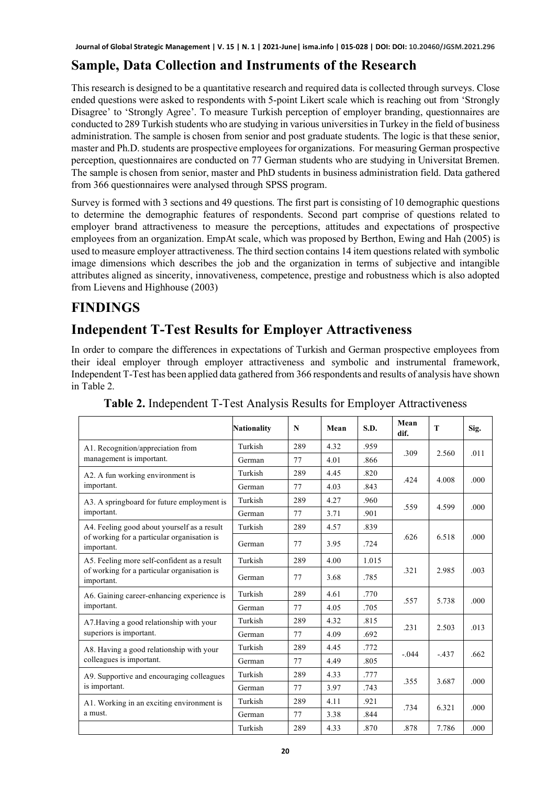### **Sample, Data Collection and Instruments of the Research**

This research is designed to be a quantitative research and required data is collected through surveys. Close ended questions were asked to respondents with 5-point Likert scale which is reaching out from 'Strongly Disagree' to 'Strongly Agree'. To measure Turkish perception of employer branding, questionnaires are conducted to 289 Turkish students who are studying in various universities in Turkey in the field of business administration. The sample is chosen from senior and post graduate students. The logic is that these senior, master and Ph.D. students are prospective employees for organizations. For measuring German prospective perception, questionnaires are conducted on 77 German students who are studying in Universitat Bremen. The sample is chosen from senior, master and PhD students in business administration field. Data gathered from 366 questionnaires were analysed through SPSS program.

Survey is formed with 3 sections and 49 questions. The first part is consisting of 10 demographic questions to determine the demographic features of respondents. Second part comprise of questions related to employer brand attractiveness to measure the perceptions, attitudes and expectations of prospective employees from an organization. EmpAt scale, which was proposed by Berthon, Ewing and Hah (2005) is used to measure employer attractiveness. The third section contains 14 item questions related with symbolic image dimensions which describes the job and the organization in terms of subjective and intangible attributes aligned as sincerity, innovativeness, competence, prestige and robustness which is also adopted from Lievens and Highhouse (2003)

### **FINDINGS**

#### **Independent T-Test Results for Employer Attractiveness**

In order to compare the differences in expectations of Turkish and German prospective employees from their ideal employer through employer attractiveness and symbolic and instrumental framework, Independent T-Test has been applied data gathered from 366 respondents and results of analysis have shown in Table 2.

|                                                           | <b>Nationality</b> | N   | Mean | S.D.  | Mean<br>dif. | T       | Sig. |
|-----------------------------------------------------------|--------------------|-----|------|-------|--------------|---------|------|
| A1. Recognition/appreciation from                         | Turkish            | 289 | 4.32 | .959  | .309         | 2.560   | .011 |
| management is important.                                  | German             | 77  | 4.01 | .866  |              |         |      |
| A2. A fun working environment is                          | Turkish            | 289 | 4.45 | .820  | .424         | 4.008   | .000 |
| important.                                                | German             | 77  | 4.03 | .843  |              |         |      |
| A3. A springboard for future employment is                | Turkish            | 289 | 4.27 | .960  | .559         | 4.599   | .000 |
| important.                                                | German             | 77  | 3.71 | .901  |              |         |      |
| A4. Feeling good about yourself as a result               | Turkish            | 289 | 4.57 | .839  |              | 6.518   | .000 |
| of working for a particular organisation is<br>important. | German             | 77  | 3.95 | .724  | .626         |         |      |
| A5. Feeling more self-confident as a result               | Turkish            | 289 | 4.00 | 1.015 |              | 2.985   | .003 |
| of working for a particular organisation is<br>important. | German             | 77  | 3.68 | .785  | .321         |         |      |
| A6. Gaining career-enhancing experience is                | Turkish            | 289 | 4.61 | .770  | .557         | 5.738   | .000 |
| important.                                                | German             | 77  | 4.05 | .705  |              |         |      |
| A7. Having a good relationship with your                  | Turkish            | 289 | 4.32 | .815  | .231         | 2.503   | .013 |
| superiors is important.                                   | German             | 77  | 4.09 | .692  |              |         |      |
| A8. Having a good relationship with your                  | Turkish            | 289 | 4.45 | .772  | $-.044$      | $-.437$ | .662 |
| colleagues is important.                                  | German             | 77  | 4.49 | .805  |              |         |      |
| A9. Supportive and encouraging colleagues                 | Turkish            | 289 | 4.33 | .777  | .355         | 3.687   | .000 |
| is important.                                             | German             | 77  | 3.97 | .743  |              |         |      |
| A1. Working in an exciting environment is                 | Turkish            | 289 | 4.11 | .921  | .734         | 6.321   | .000 |
| a must.                                                   | German             | 77  | 3.38 | .844  |              |         |      |
|                                                           | Turkish            | 289 | 4.33 | .870  | .878         | 7.786   | .000 |

**Table 2.** Independent T-Test Analysis Results for Employer Attractiveness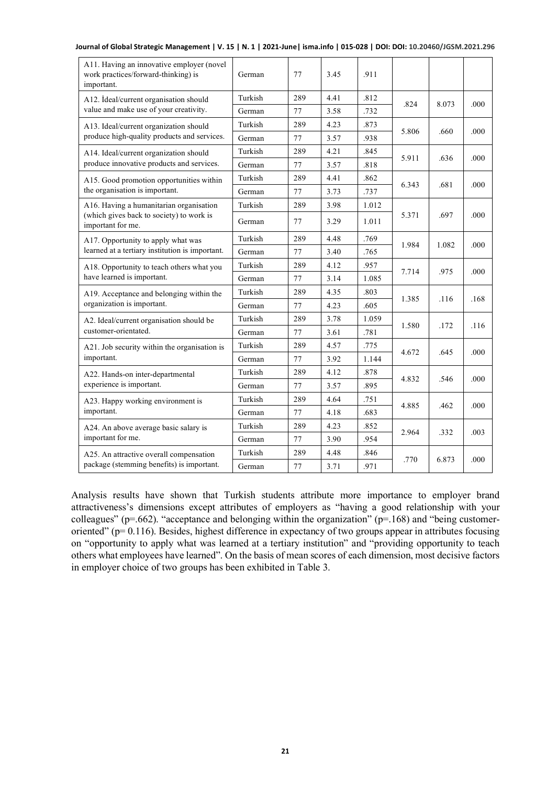| A11. Having an innovative employer (novel<br>work practices/forward-thinking) is<br>important. | German  | 77  | 3.45 | .911  |       |       |      |
|------------------------------------------------------------------------------------------------|---------|-----|------|-------|-------|-------|------|
| A12. İdeal/current organisation should                                                         | Turkish | 289 | 4.41 | .812  | .824  | 8.073 | .000 |
| value and make use of your creativity.                                                         | German  | 77  | 3.58 | .732  |       |       |      |
| A13. Ideal/current organization should                                                         | Turkish | 289 | 4.23 | .873  | 5.806 | .660  | .000 |
| produce high-quality products and services.                                                    | German  | 77  | 3.57 | .938  |       |       |      |
| A14. Ideal/current organization should                                                         | Turkish | 289 | 4.21 | .845  | 5.911 | .636  | .000 |
| produce innovative products and services.                                                      | German  | 77  | 3.57 | .818  |       |       |      |
| A15. Good promotion opportunities within                                                       | Turkish | 289 | 4.41 | .862  | 6.343 | .681  | .000 |
| the organisation is important.                                                                 | German  | 77  | 3.73 | .737  |       |       |      |
| A16. Having a humanitarian organisation                                                        | Turkish | 289 | 3.98 | 1.012 |       | .697  | .000 |
| (which gives back to society) to work is<br>important for me.                                  | German  | 77  | 3.29 | 1.011 | 5.371 |       |      |
| A17. Opportunity to apply what was                                                             | Turkish | 289 | 4.48 | .769  | 1.984 | 1.082 | .000 |
| learned at a tertiary institution is important.                                                | German  | 77  | 3.40 | .765  |       |       |      |
| A18. Opportunity to teach others what you                                                      | Turkish | 289 | 4.12 | .957  |       | .975  | .000 |
| have learned is important.                                                                     | German  | 77  | 3.14 | 1.085 | 7.714 |       |      |
| A19. Acceptance and belonging within the                                                       | Turkish | 289 | 4.35 | .803  | 1.385 | .116  | .168 |
| organization is important.                                                                     | German  | 77  | 4.23 | .605  |       |       |      |
| A2. Ideal/current organisation should be                                                       | Turkish | 289 | 3.78 | 1.059 | 1.580 |       |      |
| customer-orientated.                                                                           | German  | 77  | 3.61 | .781  |       | .172  | .116 |
| A21. Job security within the organisation is                                                   | Turkish | 289 | 4.57 | .775  | 4.672 | .645  | .000 |
| important.                                                                                     | German  | 77  | 3.92 | 1.144 |       |       |      |
| A22. Hands-on inter-departmental                                                               | Turkish | 289 | 4.12 | .878  | 4.832 | .546  |      |
| experience is important.                                                                       | German  | 77  | 3.57 | .895  |       |       | .000 |
| A23. Happy working environment is                                                              | Turkish | 289 | 4.64 | .751  |       |       |      |
| important.                                                                                     | German  | 77  | 4.18 | .683  | 4.885 | .462  | .000 |
| A24. An above average basic salary is                                                          | Turkish | 289 | 4.23 | .852  |       |       | .003 |
| important for me.                                                                              | German  | 77  | 3.90 | .954  | 2.964 | .332  |      |
| A25. An attractive overall compensation                                                        | Turkish | 289 | 4.48 | .846  |       |       |      |
| package (stemming benefits) is important.                                                      | German  | 77  | 3.71 | .971  | .770  | 6.873 | .000 |

**Journal of Global Strategic Management | V. 15 | N. 1 | 2021-June| isma.info | 015-028 | DOI: DOI: 10.20460/JGSM.2021.296**

Analysis results have shown that Turkish students attribute more importance to employer brand attractiveness's dimensions except attributes of employers as "having a good relationship with your colleagues" ( $p=0.662$ ). "acceptance and belonging within the organization" ( $p=168$ ) and "being customeroriented" ( $p= 0.116$ ). Besides, highest difference in expectancy of two groups appear in attributes focusing on "opportunity to apply what was learned at a tertiary institution" and "providing opportunity to teach others what employees have learned". On the basis of mean scores of each dimension, most decisive factors in employer choice of two groups has been exhibited in Table 3.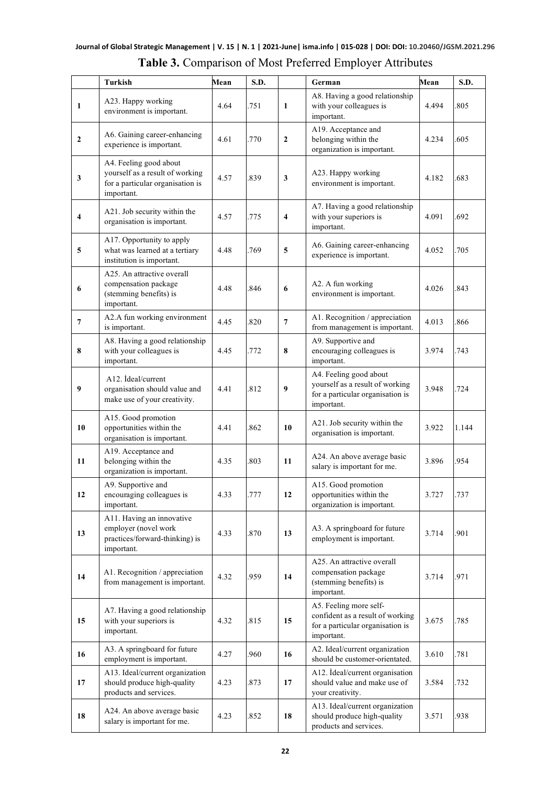|                | Turkish                                                                                                     | Mean | S.D. |                | <b>Table 5.</b> Comparison of MOSt FICICITUM Employer Authorities<br>German                                  | Mean  | S.D.  |
|----------------|-------------------------------------------------------------------------------------------------------------|------|------|----------------|--------------------------------------------------------------------------------------------------------------|-------|-------|
| $\mathbf{1}$   | A23. Happy working<br>environment is important.                                                             | 4.64 | .751 | 1              | A8. Having a good relationship<br>with your colleagues is<br>important.                                      | 4.494 | .805  |
| $\mathbf{2}$   | A6. Gaining career-enhancing<br>experience is important.                                                    | 4.61 | .770 | $\mathbf{2}$   | A19. Acceptance and<br>belonging within the<br>organization is important.                                    | 4.234 | .605  |
| 3              | A4. Feeling good about<br>yourself as a result of working<br>for a particular organisation is<br>important. | 4.57 | .839 | 3              | A23. Happy working<br>environment is important.                                                              | 4.182 | .683  |
| $\overline{4}$ | A21. Job security within the<br>organisation is important.                                                  | 4.57 | .775 | 4              | A7. Having a good relationship<br>with your superiors is<br>important.                                       | 4.091 | .692  |
| 5              | A17. Opportunity to apply<br>what was learned at a tertiary<br>institution is important.                    | 4.48 | .769 | 5              | A6. Gaining career-enhancing<br>experience is important.                                                     | 4.052 | .705  |
| 6              | A25. An attractive overall<br>compensation package<br>(stemming benefits) is<br>important.                  | 4.48 | .846 | 6              | A2. A fun working<br>environment is important.                                                               | 4.026 | .843  |
| $\overline{7}$ | A2.A fun working environment<br>is important.                                                               | 4.45 | .820 | $\overline{7}$ | A1. Recognition / appreciation<br>from management is important.                                              | 4.013 | .866  |
| 8              | A8. Having a good relationship<br>with your colleagues is<br>important.                                     | 4.45 | .772 | 8              | A9. Supportive and<br>encouraging colleagues is<br>important.                                                | 3.974 | .743  |
| 9              | A12. Ideal/current<br>organisation should value and<br>make use of your creativity.                         | 4.41 | .812 | 9              | A4. Feeling good about<br>yourself as a result of working<br>for a particular organisation is<br>important.  | 3.948 | .724  |
| 10             | A15. Good promotion<br>opportunities within the<br>organisation is important.                               | 4.41 | .862 | 10             | A21. Job security within the<br>organisation is important.                                                   | 3.922 | 1.144 |
| 11             | A19. Acceptance and<br>belonging within the<br>organization is important.                                   | 4.35 | .803 | 11             | A24. An above average basic<br>salary is important for me.                                                   | 3.896 | .954  |
| 12             | A9. Supportive and<br>encouraging colleagues is<br>important.                                               | 4.33 | .777 | 12             | A15. Good promotion<br>opportunities within the<br>organization is important.                                | 3.727 | .737  |
| 13             | A11. Having an innovative<br>employer (novel work<br>practices/forward-thinking) is<br>important.           | 4.33 | 870  | 13             | A3. A springboard for future<br>employment is important.                                                     | 3.714 | .901  |
| 14             | A1. Recognition / appreciation<br>from management is important.                                             | 4.32 | 959  | 14             | A25. An attractive overall<br>compensation package<br>(stemming benefits) is<br>important.                   | 3.714 | .971  |
| 15             | A7. Having a good relationship<br>with your superiors is<br>important.                                      | 4.32 | .815 | 15             | A5. Feeling more self-<br>confident as a result of working<br>for a particular organisation is<br>important. | 3.675 | .785  |
| 16             | A3. A springboard for future<br>employment is important.                                                    | 4.27 | .960 | 16             | A2. Ideal/current organization<br>should be customer-orientated.                                             | 3.610 | .781  |

#### **Table 3.** Comparison of Most Preferred Employer Attributes

A12. İdeal/current organisation should value and make use of

A13. Ideal/current organization should produce high-quality products and services.

3.584 .732

3.571 .938

your creativity.

4.23 .873 **17**

**17**

A13. Ideal/current organization should produce high-quality products and services.

A24. An above average basic<br>salary is important for me.  $\begin{vmatrix} 4.23 & 852 \end{vmatrix}$  18

**18** A24. An above average basic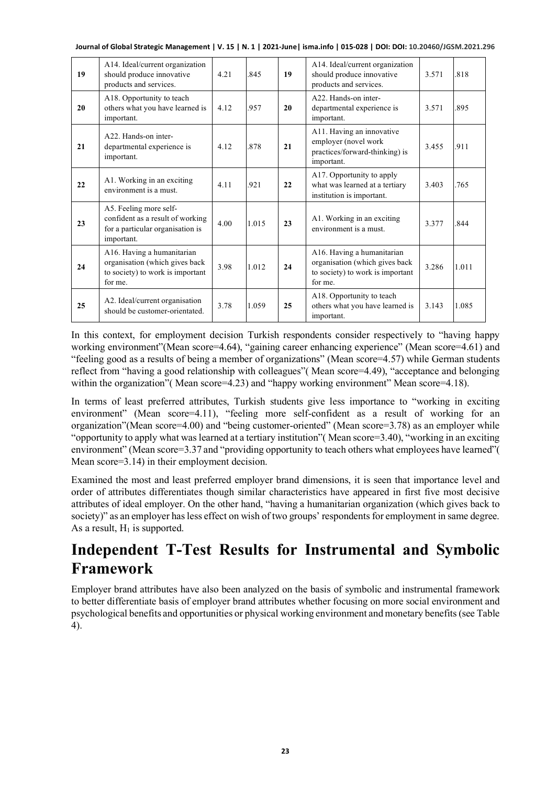| Journal of Global Strategic Management   V. 15   N. 1   2021-June   isma.info   015-028   DOI: DOI: 10.20460/JGSM.2021.296 |  |  |  |
|----------------------------------------------------------------------------------------------------------------------------|--|--|--|
|----------------------------------------------------------------------------------------------------------------------------|--|--|--|

| 19 | A14. Ideal/current organization<br>should produce innovative<br>products and services.                       | 4.21 | .845  | 19 | A14. Ideal/current organization<br>should produce innovative<br>products and services.                      | 3.571 | .818  |
|----|--------------------------------------------------------------------------------------------------------------|------|-------|----|-------------------------------------------------------------------------------------------------------------|-------|-------|
| 20 | A18. Opportunity to teach<br>others what you have learned is<br>important.                                   | 4.12 | .957  | 20 | A <sub>22</sub> . Hands-on inter-<br>departmental experience is<br>important.                               | 3.571 | .895  |
| 21 | A <sub>22</sub> . Hands-on inter-<br>departmental experience is<br>important.                                | 4.12 | 878   | 21 | A11. Having an innovative<br>employer (novel work<br>practices/forward-thinking) is<br>important.           | 3.455 | .911  |
| 22 | A1. Working in an exciting<br>environment is a must.                                                         | 4.11 | .921  | 22 | A17. Opportunity to apply<br>what was learned at a tertiary<br>institution is important.                    | 3.403 | .765  |
| 23 | A5. Feeling more self-<br>confident as a result of working<br>for a particular organisation is<br>important. | 4.00 | 1.015 | 23 | A1. Working in an exciting<br>environment is a must.                                                        | 3.377 | .844  |
| 24 | A16. Having a humanitarian<br>organisation (which gives back<br>to society) to work is important<br>for me.  | 3.98 | 1.012 | 24 | A16. Having a humanitarian<br>organisation (which gives back<br>to society) to work is important<br>for me. | 3.286 | 1.011 |
| 25 | A2. Ideal/current organisation<br>should be customer-orientated.                                             | 3.78 | 1.059 | 25 | A18. Opportunity to teach<br>others what you have learned is<br>important.                                  | 3.143 | 1.085 |

In this context, for employment decision Turkish respondents consider respectively to "having happy working environment"(Mean score=4.64), "gaining career enhancing experience" (Mean score=4.61) and "feeling good as a results of being a member of organizations" (Mean score=4.57) while German students reflect from "having a good relationship with colleagues"( Mean score=4.49), "acceptance and belonging within the organization" (Mean score=4.23) and "happy working environment" Mean score=4.18).

In terms of least preferred attributes, Turkish students give less importance to "working in exciting environment" (Mean score=4.11), "feeling more self-confident as a result of working for an organization"(Mean score=4.00) and "being customer-oriented" (Mean score=3.78) as an employer while "opportunity to apply what was learned at a tertiary institution"( Mean score=3.40), "working in an exciting environment" (Mean score=3.37 and "providing opportunity to teach others what employees have learned"( Mean score=3.14) in their employment decision.

Examined the most and least preferred employer brand dimensions, it is seen that importance level and order of attributes differentiates though similar characteristics have appeared in first five most decisive attributes of ideal employer. On the other hand, "having a humanitarian organization (which gives back to society)" as an employer has less effect on wish of two groups' respondents for employment in same degree. As a result,  $H_1$  is supported.

# **Independent T-Test Results for Instrumental and Symbolic Framework**

Employer brand attributes have also been analyzed on the basis of symbolic and instrumental framework to better differentiate basis of employer brand attributes whether focusing on more social environment and psychological benefits and opportunities or physical working environment and monetary benefits (see Table 4).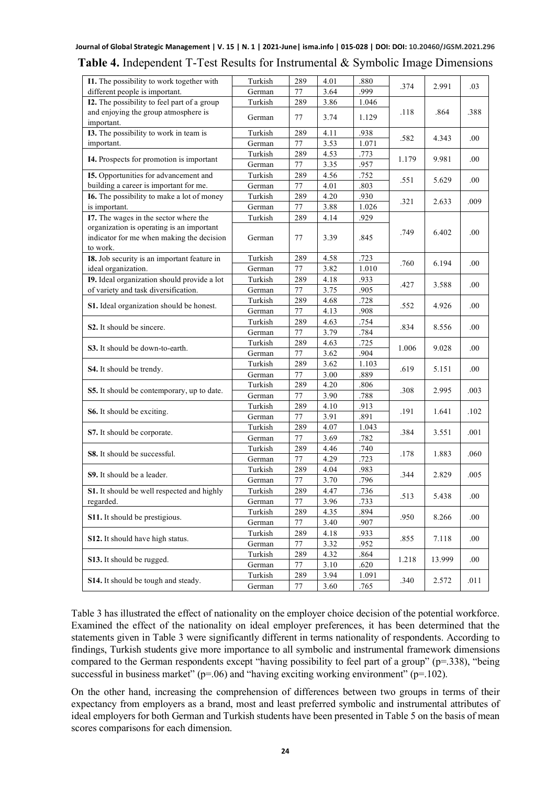| .999<br>different people is important.<br>German<br>77<br>3.64<br>I2. The possibility to feel part of a group<br>Turkish<br>289<br>3.86<br>1.046<br>and enjoying the group atmosphere is<br>.864<br>.388<br>.118<br>3.74<br>German<br>77<br>1.129<br>important.<br>I3. The possibility to work in team is<br>Turkish<br>289<br>4.11<br>.938<br>.582<br>4.343<br>.00<br>German<br>77<br>3.53<br>1.071<br>important.<br>Turkish<br>289<br>4.53<br>.773<br>9.981<br>I4. Prospects for promotion is important<br>1.179<br>.00<br>German<br>77<br>3.35<br>.957<br>I5. Opportunities for advancement and<br>Turkish<br>289<br>4.56<br>.752<br>.551<br>5.629<br>.00<br>4.01<br>building a career is important for me.<br>German<br>77<br>.803<br>Turkish<br>4.20<br>.930<br><b>I6.</b> The possibility to make a lot of money<br>289<br>.009<br>.321<br>2.633<br>is important.<br>German<br>77<br>3.88<br>1.026<br>I7. The wages in the sector where the<br>289<br>4.14<br>.929<br>Turkish<br>organization is operating is an important<br>.749<br>6.402<br>.00<br>indicator for me when making the decision<br>3.39<br>.845<br>German<br>77<br>to work.<br>Turkish<br>I8. Job security is an important feature in<br>289<br>4.58<br>.723<br>.760<br>6.194<br>.00<br>ideal organization.<br>German<br>3.82<br>1.010<br>77<br>19. Ideal organization should provide a lot<br>Turkish<br>289<br>4.18<br>.933<br>.427<br>3.588<br>.00<br>of variety and task diversification.<br>.905<br>German<br>77<br>3.75<br>289<br>4.68<br>.728<br>Turkish<br>S1. Ideal organization should be honest.<br>.552<br>4.926<br>.00<br>77<br>4.13<br>.908<br>German<br>Turkish<br>289<br>4.63<br>.754<br>S <sub>2</sub> . It should be sincere.<br>.834<br>8.556<br>.00<br>77<br>3.79<br>.784<br>German<br>Turkish<br>289<br>4.63<br>.725<br>9.028<br>.00<br>S3. It should be down-to-earth.<br>1.006<br>77<br>3.62<br>.904<br>German<br>Turkish<br>289<br>3.62<br>1.103<br>.619<br>5.151<br>.00<br><b>S4.</b> It should be trendy.<br>77<br>3.00<br>.889<br>German<br>4.20<br>Turkish<br>289<br>.806<br>.308<br>2.995<br>.003<br><b>S5.</b> It should be contemporary, up to date.<br>77<br>3.90<br>.788<br>German<br>Turkish<br>289<br>4.10<br>.913<br>.191<br>1.641<br>.102<br><b>S6.</b> It should be exciting.<br>German<br>77<br>3.91<br>.891<br>Turkish<br>289<br>4.07<br>1.043<br>.384<br>3.551<br>.001<br>S7. It should be corporate.<br>3.69<br>77<br>.782<br>German<br>Turkish<br>289<br>4.46<br>.740<br><b>S8.</b> It should be successful.<br>1.883<br>.060<br>.178<br>German<br>77<br>4.29<br>.723<br>Turkish<br>4.04<br>289<br>.983<br><b>S9.</b> It should be a leader.<br>.344<br>2.829<br>.005<br>3.70<br>.796<br>German<br>77<br>Turkish<br>4.47<br>.736<br>289<br>S1. It should be well respected and highly<br>5.438<br>.00<br>.513<br>3.96<br>German<br>77<br>.733<br>regarded.<br>Turkish<br>289<br>4.35<br>.894<br>S11. It should be prestigious.<br>.950<br>8.266<br>.00<br>77<br>3.40<br>.907<br>German<br>Turkish<br>4.18<br>.933<br>289<br>S12. It should have high status.<br>.855<br>.00<br>7.118<br>3.32<br>77<br>.952<br>German<br>Turkish<br>289<br>4.32<br>.864<br>S13. It should be rugged.<br>1.218<br>13.999<br>.00<br>77<br>3.10<br>.620<br>German<br>289<br>3.94<br>1.091<br>Turkish<br><b>S14.</b> It should be tough and steady.<br>.340<br>2.572<br>.011<br>3.60<br>.765<br>German<br>77 | I1. The possibility to work together with | Turkish | 289 | 4.01 | .880 |      |       |     |
|----------------------------------------------------------------------------------------------------------------------------------------------------------------------------------------------------------------------------------------------------------------------------------------------------------------------------------------------------------------------------------------------------------------------------------------------------------------------------------------------------------------------------------------------------------------------------------------------------------------------------------------------------------------------------------------------------------------------------------------------------------------------------------------------------------------------------------------------------------------------------------------------------------------------------------------------------------------------------------------------------------------------------------------------------------------------------------------------------------------------------------------------------------------------------------------------------------------------------------------------------------------------------------------------------------------------------------------------------------------------------------------------------------------------------------------------------------------------------------------------------------------------------------------------------------------------------------------------------------------------------------------------------------------------------------------------------------------------------------------------------------------------------------------------------------------------------------------------------------------------------------------------------------------------------------------------------------------------------------------------------------------------------------------------------------------------------------------------------------------------------------------------------------------------------------------------------------------------------------------------------------------------------------------------------------------------------------------------------------------------------------------------------------------------------------------------------------------------------------------------------------------------------------------------------------------------------------------------------------------------------------------------------------------------------------------------------------------------------------------------------------------------------------------------------------------------------------------------------------------------------------------------------------------------------------------------------------------------------------------------------------------------------------------------------------------------------------------------------------------------------------------------------------------------------------------------------------------------------------------------------------------------------------------------------------------------------------------------------------------------------------------------------------|-------------------------------------------|---------|-----|------|------|------|-------|-----|
|                                                                                                                                                                                                                                                                                                                                                                                                                                                                                                                                                                                                                                                                                                                                                                                                                                                                                                                                                                                                                                                                                                                                                                                                                                                                                                                                                                                                                                                                                                                                                                                                                                                                                                                                                                                                                                                                                                                                                                                                                                                                                                                                                                                                                                                                                                                                                                                                                                                                                                                                                                                                                                                                                                                                                                                                                                                                                                                                                                                                                                                                                                                                                                                                                                                                                                                                                                                                          |                                           |         |     |      |      | .374 | 2.991 | .03 |
|                                                                                                                                                                                                                                                                                                                                                                                                                                                                                                                                                                                                                                                                                                                                                                                                                                                                                                                                                                                                                                                                                                                                                                                                                                                                                                                                                                                                                                                                                                                                                                                                                                                                                                                                                                                                                                                                                                                                                                                                                                                                                                                                                                                                                                                                                                                                                                                                                                                                                                                                                                                                                                                                                                                                                                                                                                                                                                                                                                                                                                                                                                                                                                                                                                                                                                                                                                                                          |                                           |         |     |      |      |      |       |     |
|                                                                                                                                                                                                                                                                                                                                                                                                                                                                                                                                                                                                                                                                                                                                                                                                                                                                                                                                                                                                                                                                                                                                                                                                                                                                                                                                                                                                                                                                                                                                                                                                                                                                                                                                                                                                                                                                                                                                                                                                                                                                                                                                                                                                                                                                                                                                                                                                                                                                                                                                                                                                                                                                                                                                                                                                                                                                                                                                                                                                                                                                                                                                                                                                                                                                                                                                                                                                          |                                           |         |     |      |      |      |       |     |
|                                                                                                                                                                                                                                                                                                                                                                                                                                                                                                                                                                                                                                                                                                                                                                                                                                                                                                                                                                                                                                                                                                                                                                                                                                                                                                                                                                                                                                                                                                                                                                                                                                                                                                                                                                                                                                                                                                                                                                                                                                                                                                                                                                                                                                                                                                                                                                                                                                                                                                                                                                                                                                                                                                                                                                                                                                                                                                                                                                                                                                                                                                                                                                                                                                                                                                                                                                                                          |                                           |         |     |      |      |      |       |     |
|                                                                                                                                                                                                                                                                                                                                                                                                                                                                                                                                                                                                                                                                                                                                                                                                                                                                                                                                                                                                                                                                                                                                                                                                                                                                                                                                                                                                                                                                                                                                                                                                                                                                                                                                                                                                                                                                                                                                                                                                                                                                                                                                                                                                                                                                                                                                                                                                                                                                                                                                                                                                                                                                                                                                                                                                                                                                                                                                                                                                                                                                                                                                                                                                                                                                                                                                                                                                          |                                           |         |     |      |      |      |       |     |
|                                                                                                                                                                                                                                                                                                                                                                                                                                                                                                                                                                                                                                                                                                                                                                                                                                                                                                                                                                                                                                                                                                                                                                                                                                                                                                                                                                                                                                                                                                                                                                                                                                                                                                                                                                                                                                                                                                                                                                                                                                                                                                                                                                                                                                                                                                                                                                                                                                                                                                                                                                                                                                                                                                                                                                                                                                                                                                                                                                                                                                                                                                                                                                                                                                                                                                                                                                                                          |                                           |         |     |      |      |      |       |     |
|                                                                                                                                                                                                                                                                                                                                                                                                                                                                                                                                                                                                                                                                                                                                                                                                                                                                                                                                                                                                                                                                                                                                                                                                                                                                                                                                                                                                                                                                                                                                                                                                                                                                                                                                                                                                                                                                                                                                                                                                                                                                                                                                                                                                                                                                                                                                                                                                                                                                                                                                                                                                                                                                                                                                                                                                                                                                                                                                                                                                                                                                                                                                                                                                                                                                                                                                                                                                          |                                           |         |     |      |      |      |       |     |
|                                                                                                                                                                                                                                                                                                                                                                                                                                                                                                                                                                                                                                                                                                                                                                                                                                                                                                                                                                                                                                                                                                                                                                                                                                                                                                                                                                                                                                                                                                                                                                                                                                                                                                                                                                                                                                                                                                                                                                                                                                                                                                                                                                                                                                                                                                                                                                                                                                                                                                                                                                                                                                                                                                                                                                                                                                                                                                                                                                                                                                                                                                                                                                                                                                                                                                                                                                                                          |                                           |         |     |      |      |      |       |     |
|                                                                                                                                                                                                                                                                                                                                                                                                                                                                                                                                                                                                                                                                                                                                                                                                                                                                                                                                                                                                                                                                                                                                                                                                                                                                                                                                                                                                                                                                                                                                                                                                                                                                                                                                                                                                                                                                                                                                                                                                                                                                                                                                                                                                                                                                                                                                                                                                                                                                                                                                                                                                                                                                                                                                                                                                                                                                                                                                                                                                                                                                                                                                                                                                                                                                                                                                                                                                          |                                           |         |     |      |      |      |       |     |
|                                                                                                                                                                                                                                                                                                                                                                                                                                                                                                                                                                                                                                                                                                                                                                                                                                                                                                                                                                                                                                                                                                                                                                                                                                                                                                                                                                                                                                                                                                                                                                                                                                                                                                                                                                                                                                                                                                                                                                                                                                                                                                                                                                                                                                                                                                                                                                                                                                                                                                                                                                                                                                                                                                                                                                                                                                                                                                                                                                                                                                                                                                                                                                                                                                                                                                                                                                                                          |                                           |         |     |      |      |      |       |     |
|                                                                                                                                                                                                                                                                                                                                                                                                                                                                                                                                                                                                                                                                                                                                                                                                                                                                                                                                                                                                                                                                                                                                                                                                                                                                                                                                                                                                                                                                                                                                                                                                                                                                                                                                                                                                                                                                                                                                                                                                                                                                                                                                                                                                                                                                                                                                                                                                                                                                                                                                                                                                                                                                                                                                                                                                                                                                                                                                                                                                                                                                                                                                                                                                                                                                                                                                                                                                          |                                           |         |     |      |      |      |       |     |
|                                                                                                                                                                                                                                                                                                                                                                                                                                                                                                                                                                                                                                                                                                                                                                                                                                                                                                                                                                                                                                                                                                                                                                                                                                                                                                                                                                                                                                                                                                                                                                                                                                                                                                                                                                                                                                                                                                                                                                                                                                                                                                                                                                                                                                                                                                                                                                                                                                                                                                                                                                                                                                                                                                                                                                                                                                                                                                                                                                                                                                                                                                                                                                                                                                                                                                                                                                                                          |                                           |         |     |      |      |      |       |     |
|                                                                                                                                                                                                                                                                                                                                                                                                                                                                                                                                                                                                                                                                                                                                                                                                                                                                                                                                                                                                                                                                                                                                                                                                                                                                                                                                                                                                                                                                                                                                                                                                                                                                                                                                                                                                                                                                                                                                                                                                                                                                                                                                                                                                                                                                                                                                                                                                                                                                                                                                                                                                                                                                                                                                                                                                                                                                                                                                                                                                                                                                                                                                                                                                                                                                                                                                                                                                          |                                           |         |     |      |      |      |       |     |
|                                                                                                                                                                                                                                                                                                                                                                                                                                                                                                                                                                                                                                                                                                                                                                                                                                                                                                                                                                                                                                                                                                                                                                                                                                                                                                                                                                                                                                                                                                                                                                                                                                                                                                                                                                                                                                                                                                                                                                                                                                                                                                                                                                                                                                                                                                                                                                                                                                                                                                                                                                                                                                                                                                                                                                                                                                                                                                                                                                                                                                                                                                                                                                                                                                                                                                                                                                                                          |                                           |         |     |      |      |      |       |     |
|                                                                                                                                                                                                                                                                                                                                                                                                                                                                                                                                                                                                                                                                                                                                                                                                                                                                                                                                                                                                                                                                                                                                                                                                                                                                                                                                                                                                                                                                                                                                                                                                                                                                                                                                                                                                                                                                                                                                                                                                                                                                                                                                                                                                                                                                                                                                                                                                                                                                                                                                                                                                                                                                                                                                                                                                                                                                                                                                                                                                                                                                                                                                                                                                                                                                                                                                                                                                          |                                           |         |     |      |      |      |       |     |
|                                                                                                                                                                                                                                                                                                                                                                                                                                                                                                                                                                                                                                                                                                                                                                                                                                                                                                                                                                                                                                                                                                                                                                                                                                                                                                                                                                                                                                                                                                                                                                                                                                                                                                                                                                                                                                                                                                                                                                                                                                                                                                                                                                                                                                                                                                                                                                                                                                                                                                                                                                                                                                                                                                                                                                                                                                                                                                                                                                                                                                                                                                                                                                                                                                                                                                                                                                                                          |                                           |         |     |      |      |      |       |     |
|                                                                                                                                                                                                                                                                                                                                                                                                                                                                                                                                                                                                                                                                                                                                                                                                                                                                                                                                                                                                                                                                                                                                                                                                                                                                                                                                                                                                                                                                                                                                                                                                                                                                                                                                                                                                                                                                                                                                                                                                                                                                                                                                                                                                                                                                                                                                                                                                                                                                                                                                                                                                                                                                                                                                                                                                                                                                                                                                                                                                                                                                                                                                                                                                                                                                                                                                                                                                          |                                           |         |     |      |      |      |       |     |
|                                                                                                                                                                                                                                                                                                                                                                                                                                                                                                                                                                                                                                                                                                                                                                                                                                                                                                                                                                                                                                                                                                                                                                                                                                                                                                                                                                                                                                                                                                                                                                                                                                                                                                                                                                                                                                                                                                                                                                                                                                                                                                                                                                                                                                                                                                                                                                                                                                                                                                                                                                                                                                                                                                                                                                                                                                                                                                                                                                                                                                                                                                                                                                                                                                                                                                                                                                                                          |                                           |         |     |      |      |      |       |     |
|                                                                                                                                                                                                                                                                                                                                                                                                                                                                                                                                                                                                                                                                                                                                                                                                                                                                                                                                                                                                                                                                                                                                                                                                                                                                                                                                                                                                                                                                                                                                                                                                                                                                                                                                                                                                                                                                                                                                                                                                                                                                                                                                                                                                                                                                                                                                                                                                                                                                                                                                                                                                                                                                                                                                                                                                                                                                                                                                                                                                                                                                                                                                                                                                                                                                                                                                                                                                          |                                           |         |     |      |      |      |       |     |
|                                                                                                                                                                                                                                                                                                                                                                                                                                                                                                                                                                                                                                                                                                                                                                                                                                                                                                                                                                                                                                                                                                                                                                                                                                                                                                                                                                                                                                                                                                                                                                                                                                                                                                                                                                                                                                                                                                                                                                                                                                                                                                                                                                                                                                                                                                                                                                                                                                                                                                                                                                                                                                                                                                                                                                                                                                                                                                                                                                                                                                                                                                                                                                                                                                                                                                                                                                                                          |                                           |         |     |      |      |      |       |     |
|                                                                                                                                                                                                                                                                                                                                                                                                                                                                                                                                                                                                                                                                                                                                                                                                                                                                                                                                                                                                                                                                                                                                                                                                                                                                                                                                                                                                                                                                                                                                                                                                                                                                                                                                                                                                                                                                                                                                                                                                                                                                                                                                                                                                                                                                                                                                                                                                                                                                                                                                                                                                                                                                                                                                                                                                                                                                                                                                                                                                                                                                                                                                                                                                                                                                                                                                                                                                          |                                           |         |     |      |      |      |       |     |
|                                                                                                                                                                                                                                                                                                                                                                                                                                                                                                                                                                                                                                                                                                                                                                                                                                                                                                                                                                                                                                                                                                                                                                                                                                                                                                                                                                                                                                                                                                                                                                                                                                                                                                                                                                                                                                                                                                                                                                                                                                                                                                                                                                                                                                                                                                                                                                                                                                                                                                                                                                                                                                                                                                                                                                                                                                                                                                                                                                                                                                                                                                                                                                                                                                                                                                                                                                                                          |                                           |         |     |      |      |      |       |     |
|                                                                                                                                                                                                                                                                                                                                                                                                                                                                                                                                                                                                                                                                                                                                                                                                                                                                                                                                                                                                                                                                                                                                                                                                                                                                                                                                                                                                                                                                                                                                                                                                                                                                                                                                                                                                                                                                                                                                                                                                                                                                                                                                                                                                                                                                                                                                                                                                                                                                                                                                                                                                                                                                                                                                                                                                                                                                                                                                                                                                                                                                                                                                                                                                                                                                                                                                                                                                          |                                           |         |     |      |      |      |       |     |
|                                                                                                                                                                                                                                                                                                                                                                                                                                                                                                                                                                                                                                                                                                                                                                                                                                                                                                                                                                                                                                                                                                                                                                                                                                                                                                                                                                                                                                                                                                                                                                                                                                                                                                                                                                                                                                                                                                                                                                                                                                                                                                                                                                                                                                                                                                                                                                                                                                                                                                                                                                                                                                                                                                                                                                                                                                                                                                                                                                                                                                                                                                                                                                                                                                                                                                                                                                                                          |                                           |         |     |      |      |      |       |     |
|                                                                                                                                                                                                                                                                                                                                                                                                                                                                                                                                                                                                                                                                                                                                                                                                                                                                                                                                                                                                                                                                                                                                                                                                                                                                                                                                                                                                                                                                                                                                                                                                                                                                                                                                                                                                                                                                                                                                                                                                                                                                                                                                                                                                                                                                                                                                                                                                                                                                                                                                                                                                                                                                                                                                                                                                                                                                                                                                                                                                                                                                                                                                                                                                                                                                                                                                                                                                          |                                           |         |     |      |      |      |       |     |
|                                                                                                                                                                                                                                                                                                                                                                                                                                                                                                                                                                                                                                                                                                                                                                                                                                                                                                                                                                                                                                                                                                                                                                                                                                                                                                                                                                                                                                                                                                                                                                                                                                                                                                                                                                                                                                                                                                                                                                                                                                                                                                                                                                                                                                                                                                                                                                                                                                                                                                                                                                                                                                                                                                                                                                                                                                                                                                                                                                                                                                                                                                                                                                                                                                                                                                                                                                                                          |                                           |         |     |      |      |      |       |     |
|                                                                                                                                                                                                                                                                                                                                                                                                                                                                                                                                                                                                                                                                                                                                                                                                                                                                                                                                                                                                                                                                                                                                                                                                                                                                                                                                                                                                                                                                                                                                                                                                                                                                                                                                                                                                                                                                                                                                                                                                                                                                                                                                                                                                                                                                                                                                                                                                                                                                                                                                                                                                                                                                                                                                                                                                                                                                                                                                                                                                                                                                                                                                                                                                                                                                                                                                                                                                          |                                           |         |     |      |      |      |       |     |
|                                                                                                                                                                                                                                                                                                                                                                                                                                                                                                                                                                                                                                                                                                                                                                                                                                                                                                                                                                                                                                                                                                                                                                                                                                                                                                                                                                                                                                                                                                                                                                                                                                                                                                                                                                                                                                                                                                                                                                                                                                                                                                                                                                                                                                                                                                                                                                                                                                                                                                                                                                                                                                                                                                                                                                                                                                                                                                                                                                                                                                                                                                                                                                                                                                                                                                                                                                                                          |                                           |         |     |      |      |      |       |     |
|                                                                                                                                                                                                                                                                                                                                                                                                                                                                                                                                                                                                                                                                                                                                                                                                                                                                                                                                                                                                                                                                                                                                                                                                                                                                                                                                                                                                                                                                                                                                                                                                                                                                                                                                                                                                                                                                                                                                                                                                                                                                                                                                                                                                                                                                                                                                                                                                                                                                                                                                                                                                                                                                                                                                                                                                                                                                                                                                                                                                                                                                                                                                                                                                                                                                                                                                                                                                          |                                           |         |     |      |      |      |       |     |
|                                                                                                                                                                                                                                                                                                                                                                                                                                                                                                                                                                                                                                                                                                                                                                                                                                                                                                                                                                                                                                                                                                                                                                                                                                                                                                                                                                                                                                                                                                                                                                                                                                                                                                                                                                                                                                                                                                                                                                                                                                                                                                                                                                                                                                                                                                                                                                                                                                                                                                                                                                                                                                                                                                                                                                                                                                                                                                                                                                                                                                                                                                                                                                                                                                                                                                                                                                                                          |                                           |         |     |      |      |      |       |     |
|                                                                                                                                                                                                                                                                                                                                                                                                                                                                                                                                                                                                                                                                                                                                                                                                                                                                                                                                                                                                                                                                                                                                                                                                                                                                                                                                                                                                                                                                                                                                                                                                                                                                                                                                                                                                                                                                                                                                                                                                                                                                                                                                                                                                                                                                                                                                                                                                                                                                                                                                                                                                                                                                                                                                                                                                                                                                                                                                                                                                                                                                                                                                                                                                                                                                                                                                                                                                          |                                           |         |     |      |      |      |       |     |
|                                                                                                                                                                                                                                                                                                                                                                                                                                                                                                                                                                                                                                                                                                                                                                                                                                                                                                                                                                                                                                                                                                                                                                                                                                                                                                                                                                                                                                                                                                                                                                                                                                                                                                                                                                                                                                                                                                                                                                                                                                                                                                                                                                                                                                                                                                                                                                                                                                                                                                                                                                                                                                                                                                                                                                                                                                                                                                                                                                                                                                                                                                                                                                                                                                                                                                                                                                                                          |                                           |         |     |      |      |      |       |     |
|                                                                                                                                                                                                                                                                                                                                                                                                                                                                                                                                                                                                                                                                                                                                                                                                                                                                                                                                                                                                                                                                                                                                                                                                                                                                                                                                                                                                                                                                                                                                                                                                                                                                                                                                                                                                                                                                                                                                                                                                                                                                                                                                                                                                                                                                                                                                                                                                                                                                                                                                                                                                                                                                                                                                                                                                                                                                                                                                                                                                                                                                                                                                                                                                                                                                                                                                                                                                          |                                           |         |     |      |      |      |       |     |
|                                                                                                                                                                                                                                                                                                                                                                                                                                                                                                                                                                                                                                                                                                                                                                                                                                                                                                                                                                                                                                                                                                                                                                                                                                                                                                                                                                                                                                                                                                                                                                                                                                                                                                                                                                                                                                                                                                                                                                                                                                                                                                                                                                                                                                                                                                                                                                                                                                                                                                                                                                                                                                                                                                                                                                                                                                                                                                                                                                                                                                                                                                                                                                                                                                                                                                                                                                                                          |                                           |         |     |      |      |      |       |     |
|                                                                                                                                                                                                                                                                                                                                                                                                                                                                                                                                                                                                                                                                                                                                                                                                                                                                                                                                                                                                                                                                                                                                                                                                                                                                                                                                                                                                                                                                                                                                                                                                                                                                                                                                                                                                                                                                                                                                                                                                                                                                                                                                                                                                                                                                                                                                                                                                                                                                                                                                                                                                                                                                                                                                                                                                                                                                                                                                                                                                                                                                                                                                                                                                                                                                                                                                                                                                          |                                           |         |     |      |      |      |       |     |
|                                                                                                                                                                                                                                                                                                                                                                                                                                                                                                                                                                                                                                                                                                                                                                                                                                                                                                                                                                                                                                                                                                                                                                                                                                                                                                                                                                                                                                                                                                                                                                                                                                                                                                                                                                                                                                                                                                                                                                                                                                                                                                                                                                                                                                                                                                                                                                                                                                                                                                                                                                                                                                                                                                                                                                                                                                                                                                                                                                                                                                                                                                                                                                                                                                                                                                                                                                                                          |                                           |         |     |      |      |      |       |     |
|                                                                                                                                                                                                                                                                                                                                                                                                                                                                                                                                                                                                                                                                                                                                                                                                                                                                                                                                                                                                                                                                                                                                                                                                                                                                                                                                                                                                                                                                                                                                                                                                                                                                                                                                                                                                                                                                                                                                                                                                                                                                                                                                                                                                                                                                                                                                                                                                                                                                                                                                                                                                                                                                                                                                                                                                                                                                                                                                                                                                                                                                                                                                                                                                                                                                                                                                                                                                          |                                           |         |     |      |      |      |       |     |
|                                                                                                                                                                                                                                                                                                                                                                                                                                                                                                                                                                                                                                                                                                                                                                                                                                                                                                                                                                                                                                                                                                                                                                                                                                                                                                                                                                                                                                                                                                                                                                                                                                                                                                                                                                                                                                                                                                                                                                                                                                                                                                                                                                                                                                                                                                                                                                                                                                                                                                                                                                                                                                                                                                                                                                                                                                                                                                                                                                                                                                                                                                                                                                                                                                                                                                                                                                                                          |                                           |         |     |      |      |      |       |     |
|                                                                                                                                                                                                                                                                                                                                                                                                                                                                                                                                                                                                                                                                                                                                                                                                                                                                                                                                                                                                                                                                                                                                                                                                                                                                                                                                                                                                                                                                                                                                                                                                                                                                                                                                                                                                                                                                                                                                                                                                                                                                                                                                                                                                                                                                                                                                                                                                                                                                                                                                                                                                                                                                                                                                                                                                                                                                                                                                                                                                                                                                                                                                                                                                                                                                                                                                                                                                          |                                           |         |     |      |      |      |       |     |
|                                                                                                                                                                                                                                                                                                                                                                                                                                                                                                                                                                                                                                                                                                                                                                                                                                                                                                                                                                                                                                                                                                                                                                                                                                                                                                                                                                                                                                                                                                                                                                                                                                                                                                                                                                                                                                                                                                                                                                                                                                                                                                                                                                                                                                                                                                                                                                                                                                                                                                                                                                                                                                                                                                                                                                                                                                                                                                                                                                                                                                                                                                                                                                                                                                                                                                                                                                                                          |                                           |         |     |      |      |      |       |     |
|                                                                                                                                                                                                                                                                                                                                                                                                                                                                                                                                                                                                                                                                                                                                                                                                                                                                                                                                                                                                                                                                                                                                                                                                                                                                                                                                                                                                                                                                                                                                                                                                                                                                                                                                                                                                                                                                                                                                                                                                                                                                                                                                                                                                                                                                                                                                                                                                                                                                                                                                                                                                                                                                                                                                                                                                                                                                                                                                                                                                                                                                                                                                                                                                                                                                                                                                                                                                          |                                           |         |     |      |      |      |       |     |
|                                                                                                                                                                                                                                                                                                                                                                                                                                                                                                                                                                                                                                                                                                                                                                                                                                                                                                                                                                                                                                                                                                                                                                                                                                                                                                                                                                                                                                                                                                                                                                                                                                                                                                                                                                                                                                                                                                                                                                                                                                                                                                                                                                                                                                                                                                                                                                                                                                                                                                                                                                                                                                                                                                                                                                                                                                                                                                                                                                                                                                                                                                                                                                                                                                                                                                                                                                                                          |                                           |         |     |      |      |      |       |     |
|                                                                                                                                                                                                                                                                                                                                                                                                                                                                                                                                                                                                                                                                                                                                                                                                                                                                                                                                                                                                                                                                                                                                                                                                                                                                                                                                                                                                                                                                                                                                                                                                                                                                                                                                                                                                                                                                                                                                                                                                                                                                                                                                                                                                                                                                                                                                                                                                                                                                                                                                                                                                                                                                                                                                                                                                                                                                                                                                                                                                                                                                                                                                                                                                                                                                                                                                                                                                          |                                           |         |     |      |      |      |       |     |
|                                                                                                                                                                                                                                                                                                                                                                                                                                                                                                                                                                                                                                                                                                                                                                                                                                                                                                                                                                                                                                                                                                                                                                                                                                                                                                                                                                                                                                                                                                                                                                                                                                                                                                                                                                                                                                                                                                                                                                                                                                                                                                                                                                                                                                                                                                                                                                                                                                                                                                                                                                                                                                                                                                                                                                                                                                                                                                                                                                                                                                                                                                                                                                                                                                                                                                                                                                                                          |                                           |         |     |      |      |      |       |     |
|                                                                                                                                                                                                                                                                                                                                                                                                                                                                                                                                                                                                                                                                                                                                                                                                                                                                                                                                                                                                                                                                                                                                                                                                                                                                                                                                                                                                                                                                                                                                                                                                                                                                                                                                                                                                                                                                                                                                                                                                                                                                                                                                                                                                                                                                                                                                                                                                                                                                                                                                                                                                                                                                                                                                                                                                                                                                                                                                                                                                                                                                                                                                                                                                                                                                                                                                                                                                          |                                           |         |     |      |      |      |       |     |

#### **Journal of Global Strategic Management | V. 15 | N. 1 | 2021-June| isma.info | 015-028 | DOI: DOI: 10.20460/JGSM.2021.296 Table 4.** Independent T-Test Results for Instrumental & Symbolic Image Dimensions

Table 3 has illustrated the effect of nationality on the employer choice decision of the potential workforce. Examined the effect of the nationality on ideal employer preferences, it has been determined that the statements given in Table 3 were significantly different in terms nationality of respondents. According to findings, Turkish students give more importance to all symbolic and instrumental framework dimensions compared to the German respondents except "having possibility to feel part of a group" (p=.338), "being successful in business market" ( $p=0.06$ ) and "having exciting working environment" ( $p=102$ ).

On the other hand, increasing the comprehension of differences between two groups in terms of their expectancy from employers as a brand, most and least preferred symbolic and instrumental attributes of ideal employers for both German and Turkish students have been presented in Table 5 on the basis of mean scores comparisons for each dimension.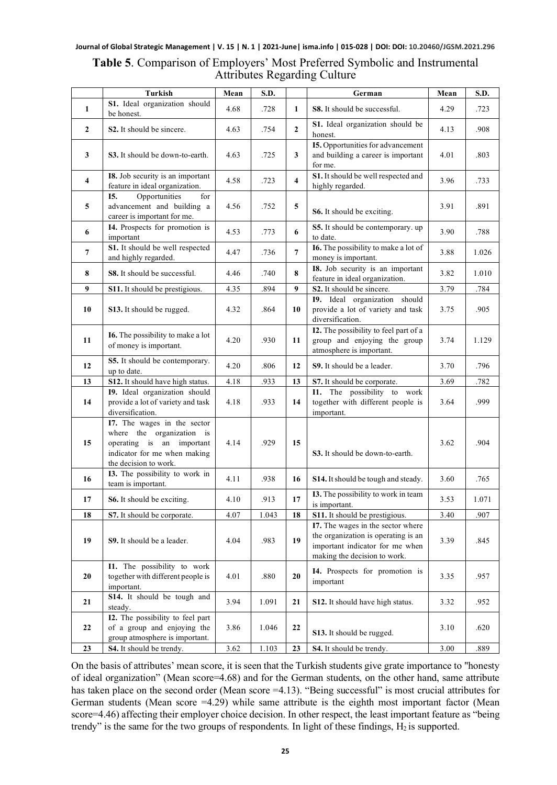| <b>Table 5.</b> Comparison of Employers' Most Preferred Symbolic and Instrumental |
|-----------------------------------------------------------------------------------|
| <b>Attributes Regarding Culture</b>                                               |

|                         | <b>Turkish</b>                                                                                                                                 | Mean | S.D.  |                         | German                                                                                                                                      | Mean | S.D.  |
|-------------------------|------------------------------------------------------------------------------------------------------------------------------------------------|------|-------|-------------------------|---------------------------------------------------------------------------------------------------------------------------------------------|------|-------|
| 1                       | S1. Ideal organization should<br>be honest.                                                                                                    | 4.68 | .728  | $\mathbf{1}$            | S8. It should be successful.                                                                                                                | 4.29 | .723  |
| $\overline{2}$          | S <sub>2</sub> . It should be sincere.                                                                                                         | 4.63 | .754  | $\mathbf{2}$            | S1. Ideal organization should be<br>honest.                                                                                                 | 4.13 | .908  |
| 3                       | S3. It should be down-to-earth.                                                                                                                | 4.63 | .725  | 3                       | <b>I5.</b> Opportunities for advancement<br>and building a career is important<br>for me.                                                   | 4.01 | .803  |
| $\overline{\mathbf{4}}$ | I8. Job security is an important<br>feature in ideal organization.                                                                             | 4.58 | .723  | $\overline{\mathbf{4}}$ | S1. It should be well respected and<br>highly regarded.                                                                                     | 3.96 | .733  |
| 5                       | Opportunities<br>I5.<br>for<br>advancement and building a<br>career is important for me.                                                       | 4.56 | .752  | 5                       | S6. It should be exciting.                                                                                                                  | 3.91 | .891  |
| 6                       | I4. Prospects for promotion is<br>important                                                                                                    | 4.53 | .773  | 6                       | S5. It should be contemporary. up<br>to date.                                                                                               | 3.90 | .788  |
| 7                       | S1. It should be well respected<br>and highly regarded.                                                                                        | 4.47 | .736  | $\overline{7}$          | I6. The possibility to make a lot of<br>money is important.                                                                                 | 3.88 | 1.026 |
| 8                       | S8. It should be successful.                                                                                                                   | 4.46 | .740  | 8                       | I8. Job security is an important<br>feature in ideal organization.                                                                          | 3.82 | 1.010 |
| 9                       | S11. It should be prestigious.                                                                                                                 | 4.35 | .894  | 9                       | S2. It should be sincere.                                                                                                                   | 3.79 | .784  |
| 10                      | S13. It should be rugged.                                                                                                                      | 4.32 | .864  | 10                      | 19. Ideal organization should<br>provide a lot of variety and task<br>diversification.                                                      | 3.75 | .905  |
| 11                      | <b>I6.</b> The possibility to make a lot<br>of money is important.                                                                             | 4.20 | .930  | 11                      | I2. The possibility to feel part of a<br>group and enjoying the group<br>atmosphere is important.                                           | 3.74 | 1.129 |
| 12                      | S5. It should be contemporary.<br>up to date.                                                                                                  | 4.20 | .806  | 12                      | S9. It should be a leader.                                                                                                                  | 3.70 | .796  |
| 13                      | S12. It should have high status.                                                                                                               | 4.18 | .933  | 13                      | S7. It should be corporate.                                                                                                                 | 3.69 | .782  |
| 14                      | 19. Ideal organization should<br>provide a lot of variety and task<br>diversification.                                                         | 4.18 | .933  | 14                      | I1. The possibility to work<br>together with different people is<br>important.                                                              | 3.64 | .999  |
| 15                      | I7. The wages in the sector<br>where the organization is<br>operating is an important<br>indicator for me when making<br>the decision to work. | 4.14 | .929  | 15                      | S3. It should be down-to-earth.                                                                                                             | 3.62 | .904  |
| 16                      | I3. The possibility to work in<br>team is important.                                                                                           | 4.11 | .938  | 16                      | S14. It should be tough and steady.                                                                                                         | 3.60 | .765  |
| 17                      | S6. It should be exciting.                                                                                                                     | 4.10 | .913  | 17                      | I3. The possibility to work in team<br>is important.                                                                                        | 3.53 | 1.071 |
| 18                      | S7. It should be corporate.                                                                                                                    | 4.07 | 1.043 | 18                      | S11. It should be prestigious.                                                                                                              | 3.40 | .907  |
| 19                      | S9. It should be a leader.                                                                                                                     | 4.04 | .983  | 19                      | I7. The wages in the sector where<br>the organization is operating is an<br>important indicator for me when<br>making the decision to work. | 3.39 | .845  |
| 20                      | I1. The possibility to work<br>together with different people is<br>important.                                                                 | 4.01 | .880  | 20                      | I4. Prospects for promotion is<br>important                                                                                                 | 3.35 | .957  |
| 21                      | S14. It should be tough and<br>steady.                                                                                                         | 3.94 | 1.091 | 21                      | <b>S12.</b> It should have high status.                                                                                                     | 3.32 | .952  |
| 22                      | I2. The possibility to feel part<br>of a group and enjoying the<br>group atmosphere is important.                                              | 3.86 | 1.046 | 22                      | S13. It should be rugged.                                                                                                                   | 3.10 | .620  |
| 23                      | S4. It should be trendy.                                                                                                                       | 3.62 | 1.103 | 23                      | S4. It should be trendy.                                                                                                                    | 3.00 | .889  |

On the basis of attributes' mean score, it is seen that the Turkish students give grate importance to "honesty of ideal organization" (Mean score=4.68) and for the German students, on the other hand, same attribute has taken place on the second order (Mean score =4.13). "Being successful" is most crucial attributes for German students (Mean score  $=4.29$ ) while same attribute is the eighth most important factor (Mean score=4.46) affecting their employer choice decision. In other respect, the least important feature as "being trendy" is the same for the two groups of respondents. In light of these findings,  $H_2$  is supported.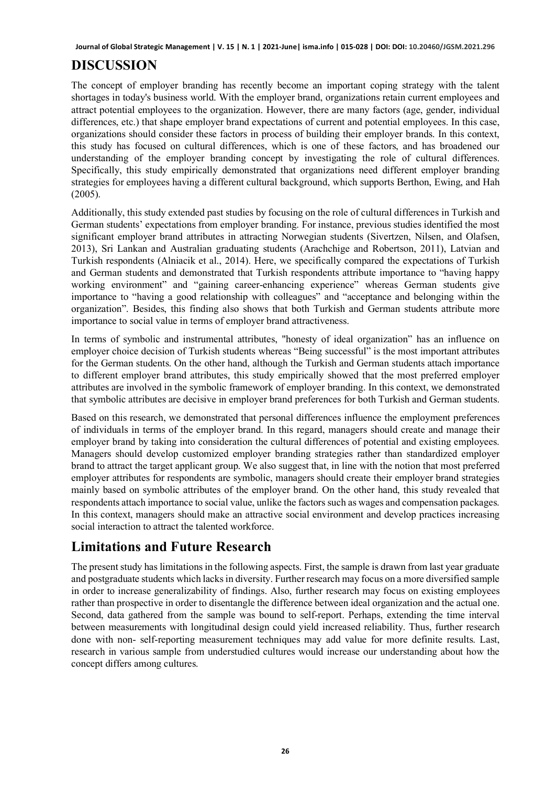# **DISCUSSION**

The concept of employer branding has recently become an important coping strategy with the talent shortages in today's business world. With the employer brand, organizations retain current employees and attract potential employees to the organization. However, there are many factors (age, gender, individual differences, etc.) that shape employer brand expectations of current and potential employees. In this case, organizations should consider these factors in process of building their employer brands. In this context, this study has focused on cultural differences, which is one of these factors, and has broadened our understanding of the employer branding concept by investigating the role of cultural differences. Specifically, this study empirically demonstrated that organizations need different employer branding strategies for employees having a different cultural background, which supports Berthon, Ewing, and Hah (2005).

Additionally, this study extended past studies by focusing on the role of cultural differences in Turkish and German students' expectations from employer branding. For instance, previous studies identified the most significant employer brand attributes in attracting Norwegian students (Sivertzen, Nilsen, and Olafsen, 2013), Sri Lankan and Australian graduating students (Arachchige and Robertson, 2011), Latvian and Turkish respondents (Alniacik et al., 2014). Here, we specifically compared the expectations of Turkish and German students and demonstrated that Turkish respondents attribute importance to "having happy working environment" and "gaining career-enhancing experience" whereas German students give importance to "having a good relationship with colleagues" and "acceptance and belonging within the organization". Besides, this finding also shows that both Turkish and German students attribute more importance to social value in terms of employer brand attractiveness.

In terms of symbolic and instrumental attributes, "honesty of ideal organization" has an influence on employer choice decision of Turkish students whereas "Being successful" is the most important attributes for the German students. On the other hand, although the Turkish and German students attach importance to different employer brand attributes, this study empirically showed that the most preferred employer attributes are involved in the symbolic framework of employer branding. In this context, we demonstrated that symbolic attributes are decisive in employer brand preferences for both Turkish and German students.

Based on this research, we demonstrated that personal differences influence the employment preferences of individuals in terms of the employer brand. In this regard, managers should create and manage their employer brand by taking into consideration the cultural differences of potential and existing employees. Managers should develop customized employer branding strategies rather than standardized employer brand to attract the target applicant group. We also suggest that, in line with the notion that most preferred employer attributes for respondents are symbolic, managers should create their employer brand strategies mainly based on symbolic attributes of the employer brand. On the other hand, this study revealed that respondents attach importance to social value, unlike the factors such as wages and compensation packages. In this context, managers should make an attractive social environment and develop practices increasing social interaction to attract the talented workforce.

# **Limitations and Future Research**

The present study has limitations in the following aspects. First, the sample is drawn from last year graduate and postgraduate students which lacks in diversity. Further research may focus on a more diversified sample in order to increase generalizability of findings. Also, further research may focus on existing employees rather than prospective in order to disentangle the difference between ideal organization and the actual one. Second, data gathered from the sample was bound to self-report. Perhaps, extending the time interval between measurements with longitudinal design could yield increased reliability. Thus, further research done with non- self-reporting measurement techniques may add value for more definite results. Last, research in various sample from understudied cultures would increase our understanding about how the concept differs among cultures.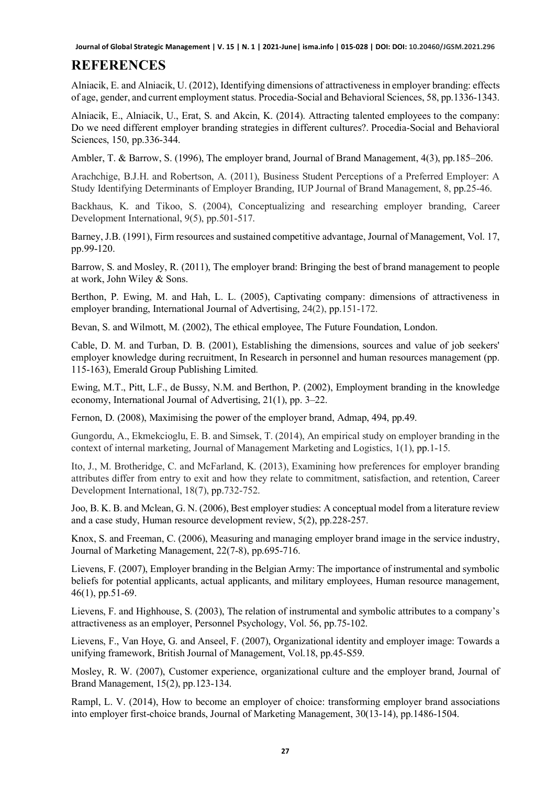# **REFERENCES**

Alniacik, E. and Alniacik, U. (2012), Identifying dimensions of attractiveness in employer branding: effects of age, gender, and current employment status. Procedia-Social and Behavioral Sciences, 58, pp.1336-1343.

Alniacik, E., Alniacik, U., Erat, S. and Akcin, K. (2014). Attracting talented employees to the company: Do we need different employer branding strategies in different cultures?. Procedia-Social and Behavioral Sciences, 150, pp.336-344.

Ambler, T. & Barrow, S. (1996), The employer brand, Journal of Brand Management, 4(3), pp.185–206.

Arachchige, B.J.H. and Robertson, A. (2011), Business Student Perceptions of a Preferred Employer: A Study Identifying Determinants of Employer Branding, IUP Journal of Brand Management, 8, pp.25-46.

Backhaus, K. and Tikoo, S. (2004), Conceptualizing and researching employer branding, Career Development International, 9(5), pp.501-517.

Barney, J.B. (1991), Firm resources and sustained competitive advantage, Journal of Management, Vol. 17, pp.99-120.

Barrow, S. and Mosley, R. (2011), The employer brand: Bringing the best of brand management to people at work, John Wiley & Sons.

Berthon, P. Ewing, M. and Hah, L. L. (2005), Captivating company: dimensions of attractiveness in employer branding, International Journal of Advertising, 24(2), pp.151-172.

Bevan, S. and Wilmott, M. (2002), The ethical employee, The Future Foundation, London.

Cable, D. M. and Turban, D. B. (2001), Establishing the dimensions, sources and value of job seekers' employer knowledge during recruitment, In Research in personnel and human resources management (pp. 115-163), Emerald Group Publishing Limited.

Ewing, M.T., Pitt, L.F., de Bussy, N.M. and Berthon, P. (2002), Employment branding in the knowledge economy, International Journal of Advertising, 21(1), pp. 3–22.

Fernon, D. (2008), Maximising the power of the employer brand, Admap, 494, pp.49.

Gungordu, A., Ekmekcioglu, E. B. and Simsek, T. (2014), An empirical study on employer branding in the context of internal marketing, Journal of Management Marketing and Logistics, 1(1), pp.1-15.

Ito, J., M. Brotheridge, C. and McFarland, K. (2013), Examining how preferences for employer branding attributes differ from entry to exit and how they relate to commitment, satisfaction, and retention, Career Development International, 18(7), pp.732-752.

Joo, B. K. B. and Mclean, G. N. (2006), Best employer studies: A conceptual model from a literature review and a case study, Human resource development review, 5(2), pp.228-257.

Knox, S. and Freeman, C. (2006), Measuring and managing employer brand image in the service industry, Journal of Marketing Management, 22(7-8), pp.695-716.

Lievens, F. (2007), Employer branding in the Belgian Army: The importance of instrumental and symbolic beliefs for potential applicants, actual applicants, and military employees, Human resource management, 46(1), pp.51-69.

Lievens, F. and Highhouse, S. (2003), The relation of instrumental and symbolic attributes to a company's attractiveness as an employer, Personnel Psychology, Vol. 56, pp.75-102.

Lievens, F., Van Hoye, G. and Anseel, F. (2007), Organizational identity and employer image: Towards a unifying framework, British Journal of Management, Vol.18, pp.45-S59.

Mosley, R. W. (2007), Customer experience, organizational culture and the employer brand, Journal of Brand Management, 15(2), pp.123-134.

Rampl, L. V. (2014), How to become an employer of choice: transforming employer brand associations into employer first-choice brands, Journal of Marketing Management, 30(13-14), pp.1486-1504.